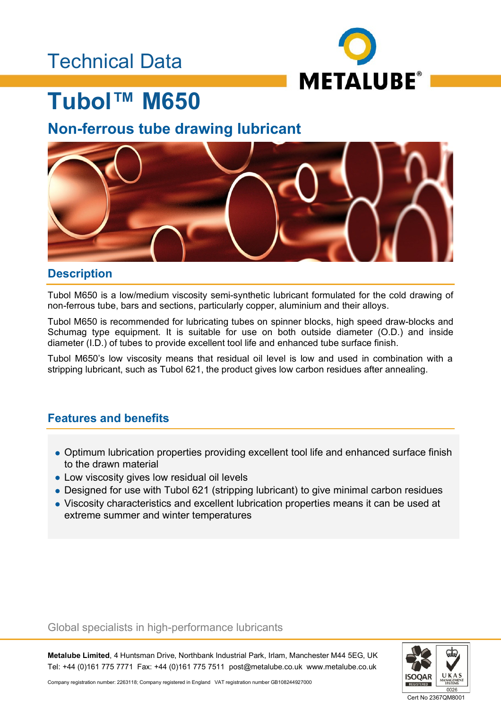## Technical Data



## **Tubol™ M650**

### **Non-ferrous tube drawing lubricant**



### **Description**

Tubol M650 is a low/medium viscosity semi-synthetic lubricant formulated for the cold drawing of non-ferrous tube, bars and sections, particularly copper, aluminium and their alloys.

Tubol M650 is recommended for lubricating tubes on spinner blocks, high speed draw-blocks and Schumag type equipment. It is suitable for use on both outside diameter (O.D.) and inside diameter (I.D.) of tubes to provide excellent tool life and enhanced tube surface finish.

Tubol M650's low viscosity means that residual oil level is low and used in combination with a stripping lubricant, such as Tubol 621, the product gives low carbon residues after annealing.

### **Features and benefits**

- Optimum lubrication properties providing excellent tool life and enhanced surface finish to the drawn material
- Low viscosity gives low residual oil levels
- Designed for use with Tubol 621 (stripping lubricant) to give minimal carbon residues
- Viscosity characteristics and excellent lubrication properties means it can be used at extreme summer and winter temperatures

### Global specialists in high-performance lubricants

**Metalube Limited**, 4 Huntsman Drive, Northbank Industrial Park, Irlam, Manchester M44 5EG, UK Tel: +44 (0)161 775 7771 Fax: +44 (0)161 775 7511 post@metalube.co.uk www.metalube.co.uk



Company registration number: 2263118; Company registered in England VAT registration number GB108244927000